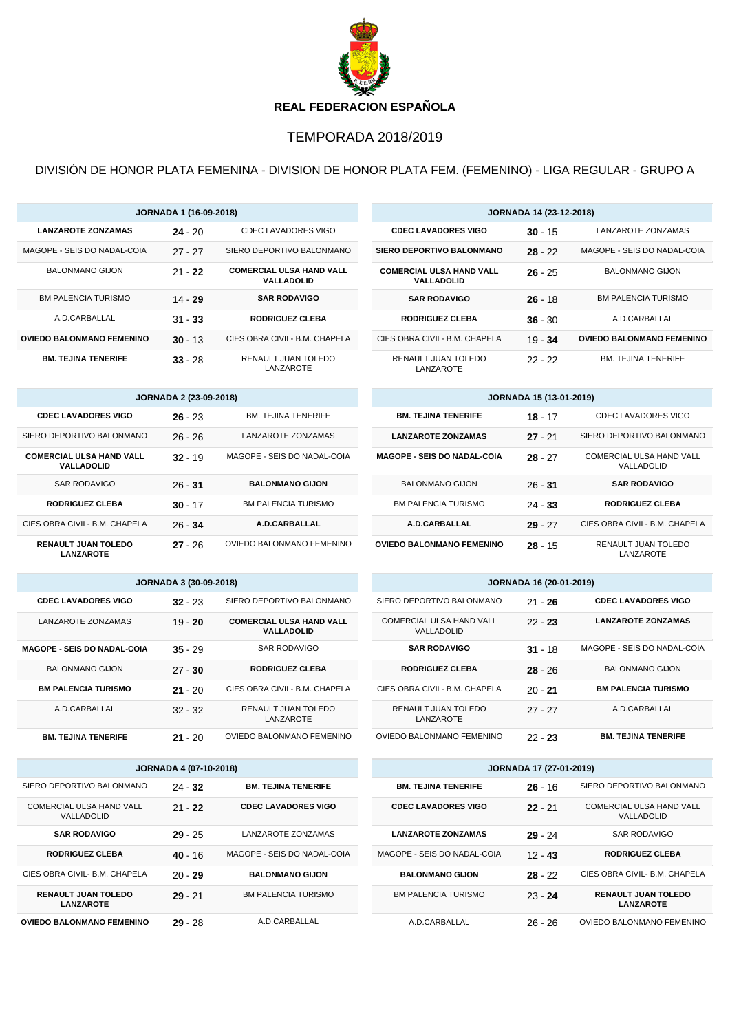

## TEMPORADA 2018/2019

DIVISIÓN DE HONOR PLATA FEMENINA - DIVISION DE HONOR PLATA FEM. (FEMENINO) - LIGA REGULAR - GRUPO A

| <b>JORNADA 1 (16-09-2018)</b>                        |                               |                                               | <b>JORNADA 14 (23-12-2018)</b>                       |                                |                                        |
|------------------------------------------------------|-------------------------------|-----------------------------------------------|------------------------------------------------------|--------------------------------|----------------------------------------|
| <b>LANZAROTE ZONZAMAS</b>                            | $24 - 20$                     | CDEC LAVADORES VIGO                           | <b>CDEC LAVADORES VIGO</b>                           | $30 - 15$                      | LANZAROTE ZONZAMAS                     |
| MAGOPE - SEIS DO NADAL-COIA                          | $27 - 27$                     | SIERO DEPORTIVO BALONMANO                     | <b>SIERO DEPORTIVO BALONMANO</b>                     | $28 - 22$                      | MAGOPE - SEIS DO NADAL-COIA            |
| <b>BALONMANO GIJON</b>                               | $21 - 22$                     | <b>COMERCIAL ULSA HAND VALL</b><br>VALLADOLID | <b>COMERCIAL ULSA HAND VALL</b><br><b>VALLADOLID</b> | $26 - 25$                      | <b>BALONMANO GIJON</b>                 |
| <b>BM PALENCIA TURISMO</b>                           | $14 - 29$                     | <b>SAR RODAVIGO</b>                           | <b>SAR RODAVIGO</b>                                  | $26 - 18$                      | <b>BM PALENCIA TURISMO</b>             |
| A.D.CARBALLAL                                        | $31 - 33$                     | <b>RODRIGUEZ CLEBA</b>                        | <b>RODRIGUEZ CLEBA</b>                               | $36 - 30$                      | A.D.CARBALLAL                          |
| <b>OVIEDO BALONMANO FEMENINO</b>                     | $30 - 13$                     | CIES OBRA CIVIL- B.M. CHAPELA                 | CIES OBRA CIVIL- B.M. CHAPELA                        | $19 - 34$                      | <b>OVIEDO BALONMANO FEMENINO</b>       |
| <b>BM. TEJINA TENERIFE</b>                           | $33 - 28$                     | <b>RENAULT JUAN TOLEDO</b><br>LANZAROTE       | RENAULT JUAN TOLEDO<br>LANZAROTE                     | $22 - 22$                      | <b>BM. TEJINA TENERIFE</b>             |
|                                                      | <b>JORNADA 2 (23-09-2018)</b> |                                               |                                                      | <b>JORNADA 15 (13-01-2019)</b> |                                        |
| <b>CDEC LAVADORES VIGO</b>                           | $26 - 23$                     | <b>BM. TEJINA TENERIFE</b>                    | <b>BM. TEJINA TENERIFE</b>                           | $18 - 17$                      | <b>CDEC LAVADORES VIGO</b>             |
| SIERO DEPORTIVO BALONMANO                            | $26 - 26$                     | LANZAROTE ZONZAMAS                            | <b>LANZAROTE ZONZAMAS</b>                            | $27 - 21$                      | SIERO DEPORTIVO BALONMANO              |
| <b>COMERCIAL ULSA HAND VALL</b><br><b>VALLADOLID</b> | $32 - 19$                     | MAGOPE - SEIS DO NADAL-COIA                   | <b>MAGOPE - SEIS DO NADAL-COIA</b>                   | $28 - 27$                      | COMERCIAL ULSA HAND VALL<br>VALLADOLID |
| <b>SAR RODAVIGO</b>                                  | $26 - 31$                     | <b>BALONMANO GIJON</b>                        | <b>BALONMANO GIJON</b>                               | $26 - 31$                      | <b>SAR RODAVIGO</b>                    |

| <b>RODRIGUEZ CLEBA</b>                         | $30 - 17$ | <b>BM PALENCIA TURISMO</b> |
|------------------------------------------------|-----------|----------------------------|
| CIES OBRA CIVIL- B.M. CHAPELA                  | $26 - 34$ | A.D.CARBALLAL              |
| <b>RENAULT JUAN TOLEDO</b><br><b>LANZAROTE</b> | $27 - 26$ | OVIEDO BALONMANO FEMENINO  |

| <b>JORNADA 3 (30-09-2018)</b> |  |
|-------------------------------|--|
|-------------------------------|--|

| <b>CDEC LAVADORES VIGO</b>         | $32 - 23$ | SIERO DEPORTIVO BALONMANO                            |
|------------------------------------|-----------|------------------------------------------------------|
| LANZAROTE ZONZAMAS                 | $19 - 20$ | <b>COMERCIAL ULSA HAND VALL</b><br><b>VALLADOLID</b> |
| <b>MAGOPE - SEIS DO NADAL-COIA</b> | $35 - 29$ | SAR RODAVIGO                                         |
| <b>BALONMANO GIJON</b>             | $27 - 30$ | <b>RODRIGUEZ CLEBA</b>                               |
| <b>BM PALENCIA TURISMO</b>         | $21 - 20$ | CIES OBRA CIVIL- B.M. CHAPELA                        |
| A.D.CARBALLAL                      | $32 - 32$ | RENAULT JUAN TOLEDO<br>LANZAROTE                     |
| <b>BM. TEJINA TENERIFE</b>         | $21 - 20$ | OVIEDO BALONMANO FEMENINO                            |

| <b>JORNADA 4 (07-10-2018)</b>                  |           |                             |  |  |
|------------------------------------------------|-----------|-----------------------------|--|--|
| SIERO DEPORTIVO BALONMANO                      | $24 - 32$ | <b>BM. TEJINA TENERIFE</b>  |  |  |
| COMERCIAL ULSA HAND VALL<br>VALLADOLID         | $21 - 22$ | <b>CDEC LAVADORES VIGO</b>  |  |  |
| <b>SAR RODAVIGO</b>                            | $29 - 25$ | LANZAROTE ZONZAMAS          |  |  |
| <b>RODRIGUEZ CLEBA</b>                         | $40 - 16$ | MAGOPE - SEIS DO NADAL-COIA |  |  |
| CIES OBRA CIVIL- B.M. CHAPELA                  | $20 - 29$ | <b>BALONMANO GIJON</b>      |  |  |
| <b>RENAULT JUAN TOLEDO</b><br><b>LANZAROTE</b> | $29 - 21$ | <b>BM PALENCIA TURISMO</b>  |  |  |
| <b>OVIEDO BALONMANO FEMENINO</b>               | 29 - 28   | A.D.CARBALLAL               |  |  |

| <b>JORNADA 16 (20-01-2019)</b> |                                        |           |                             |  |
|--------------------------------|----------------------------------------|-----------|-----------------------------|--|
|                                | SIERO DEPORTIVO BALONMANO              | $21 - 26$ | <b>CDEC LAVADORES VIGO</b>  |  |
|                                | COMERCIAL ULSA HAND VALL<br>VALLADOLID | $22 - 23$ | <b>LANZAROTE ZONZAMAS</b>   |  |
|                                | <b>SAR RODAVIGO</b>                    | $31 - 18$ | MAGOPE - SEIS DO NADAL-COIA |  |
|                                | <b>RODRIGUEZ CLEBA</b>                 | $28 - 26$ | BALONMANO GIJON             |  |
|                                | CIES OBRA CIVIL- B.M. CHAPELA          | $20 - 21$ | <b>BM PALENCIA TURISMO</b>  |  |
|                                | RENAULT JUAN TOLEDO<br>LANZAROTE       | $27 - 27$ | A.D.CARBALLAL               |  |
|                                | OVIEDO BALONMANO FEMENINO              | 22 - 23   | <b>BM. TEJINA TENERIFE</b>  |  |

BM PALENCIA TURISMO 24 - **33 RODRIGUEZ CLEBA**

**OVIEDO BALONMANO FEMENINO 28** - 15 RENAULT JUAN TOLEDO

**A.D.CARBALLAL 29** - 27 CIES OBRA CIVIL- B.M. CHAPELA

LANZAROTE

| <b>JORNADA 17 (27-01-2019)</b> |           |                                                |  |  |
|--------------------------------|-----------|------------------------------------------------|--|--|
| <b>BM. TEJINA TENERIFE</b>     | $26 - 16$ | SIERO DEPORTIVO BALONMANO                      |  |  |
| <b>CDEC LAVADORES VIGO</b>     | $22 - 21$ | COMERCIAL ULSA HAND VALL<br><b>VALLADOLID</b>  |  |  |
| <b>LANZAROTE ZONZAMAS</b>      | $29 - 24$ | SAR RODAVIGO                                   |  |  |
| MAGOPE - SEIS DO NADAL-COIA    | $12 - 43$ | <b>RODRIGUEZ CLEBA</b>                         |  |  |
| <b>BALONMANO GIJON</b>         | $28 - 22$ | CIES OBRA CIVII - B M CHAPFI A                 |  |  |
| <b>BM PALENCIA TURISMO</b>     | $23 - 24$ | <b>RENAULT JUAN TOLEDO</b><br><b>LANZAROTE</b> |  |  |
| A.D.CARBALLAL                  | $26 - 26$ | OVIEDO BALONMANO FEMENINO                      |  |  |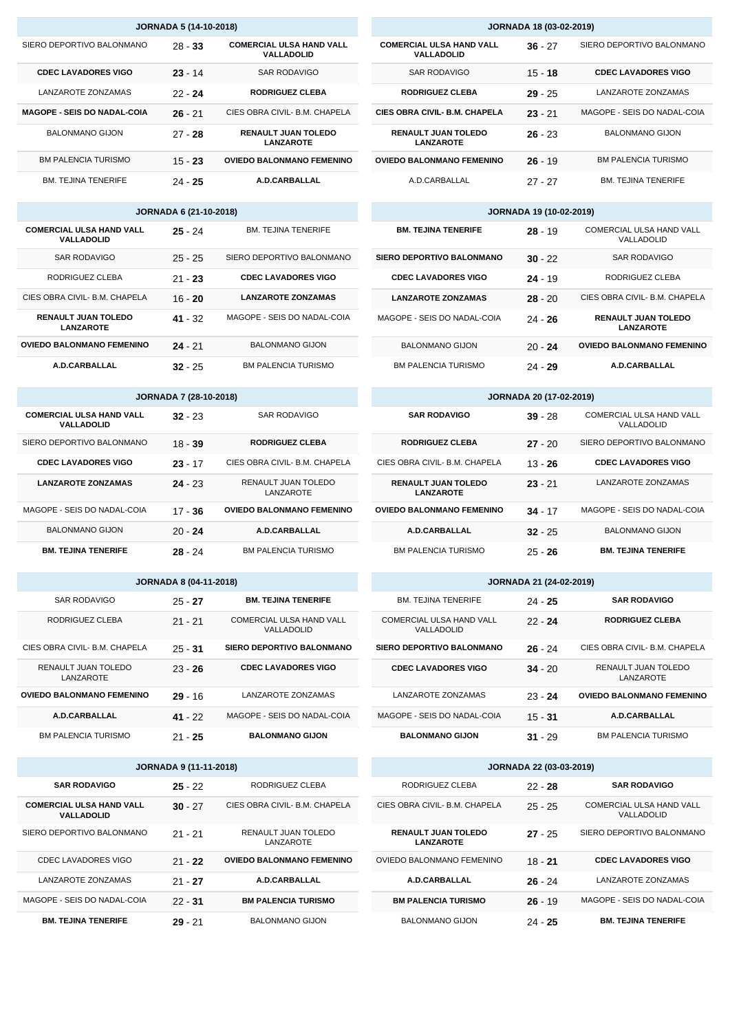| <b>JORNADA 18 (03-02-2019)</b>                 |           |                             |  |  |
|------------------------------------------------|-----------|-----------------------------|--|--|
| <b>COMERCIAL ULSA HAND VALL</b><br>VALLADOLID  | $36 - 27$ | SIERO DEPORTIVO BALONMANO   |  |  |
| SAR RODAVIGO                                   | $15 - 18$ | <b>CDEC LAVADORES VIGO</b>  |  |  |
| <b>RODRIGUEZ CLEBA</b>                         | $29 - 25$ | LANZAROTE ZONZAMAS          |  |  |
| <b>CIES OBRA CIVIL- B.M. CHAPELA</b>           | $23 - 21$ | MAGOPE - SEIS DO NADAL-COIA |  |  |
| <b>RENAULT JUAN TOLEDO</b><br><b>LANZAROTE</b> | $26 - 23$ | <b>BALONMANO GIJON</b>      |  |  |
| <b>OVIEDO BALONMANO FEMENINO</b>               | $26 - 19$ | <b>BM PALENCIA TURISMO</b>  |  |  |
| A.D.CARBALLAL                                  | $27 - 27$ | <b>BM. TEJINA TENERIFE</b>  |  |  |

| <b>JORNADA 19 (10-02-2019)</b>   |           |                                                |  |  |
|----------------------------------|-----------|------------------------------------------------|--|--|
| <b>BM. TEJINA TENERIFE</b>       | $28 - 19$ | COMERCIAL ULSA HAND VALL<br>VALLADOLID         |  |  |
| <b>SIERO DEPORTIVO BALONMANO</b> | $30 - 22$ | SAR RODAVIGO                                   |  |  |
| <b>CDEC LAVADORES VIGO</b>       | $24 - 19$ | RODRIGUEZ CLEBA                                |  |  |
| <b>LANZAROTE ZONZAMAS</b>        | $28 - 20$ | CIES OBRA CIVIL- B.M. CHAPELA                  |  |  |
| MAGOPE - SEIS DO NADAL-COIA      | $24 - 26$ | <b>RENAULT JUAN TOLEDO</b><br><b>LANZAROTE</b> |  |  |
| BALONMANO GIJON                  | $20 - 24$ | <b>OVIEDO BALONMANO FEMENINO</b>               |  |  |
| <b>BM PALENCIA TURISMO</b>       | 24 - 29   | A.D.CARBALLAL                                  |  |  |

| <b>JORNADA 20 (17-02-2019)</b>                 |           |                                        |  |  |
|------------------------------------------------|-----------|----------------------------------------|--|--|
| <b>SAR RODAVIGO</b>                            | $39 - 28$ | COMERCIAL ULSA HAND VALL<br>VALLADOLID |  |  |
| <b>RODRIGUEZ CLEBA</b>                         | $27 - 20$ | SIERO DEPORTIVO BALONMANO              |  |  |
| CIES OBRA CIVIL- B.M. CHAPELA                  | $13 - 26$ | <b>CDEC LAVADORES VIGO</b>             |  |  |
| <b>RENAULT JUAN TOLEDO</b><br><b>LANZAROTE</b> | $23 - 21$ | LANZAROTE ZONZAMAS                     |  |  |
| <b>OVIEDO BALONMANO FEMENINO</b>               | $34 - 17$ | MAGOPE - SEIS DO NADAL-COIA            |  |  |
| A.D.CARBALLAL                                  | $32 - 25$ | <b>BALONMANO GIJON</b>                 |  |  |
| <b>BM PALENCIA TURISMO</b>                     | $25 - 26$ | <b>BM. TEJINA TENERIFE</b>             |  |  |

| <b>JORNADA 21 (24-02-2019)</b>         |           |                                  |  |  |
|----------------------------------------|-----------|----------------------------------|--|--|
| <b>BM. TEJINA TENERIFE</b>             | $24 - 25$ | <b>SAR RODAVIGO</b>              |  |  |
| COMERCIAL ULSA HAND VALL<br>VALLADOLID | $22 - 24$ | <b>RODRIGUEZ CLEBA</b>           |  |  |
| <b>SIERO DEPORTIVO BALONMANO</b>       | $26 - 24$ | CIES OBRA CIVIL- B.M. CHAPELA    |  |  |
| <b>CDEC LAVADORES VIGO</b>             | $34 - 20$ | RENAULT JUAN TOLEDO<br>LANZAROTE |  |  |
| LANZAROTE ZONZAMAS                     | $23 - 24$ | <b>OVIEDO BALONMANO FEMENINO</b> |  |  |
| MAGOPE - SEIS DO NADAL-COIA            | $15 - 31$ | A.D.CARBALLAL                    |  |  |
| <b>BALONMANO GIJON</b>                 | $31 - 29$ | <b>BM PALENCIA TURISMO</b>       |  |  |

| <b>JORNADA 22 (03-03-2019)</b>                 |           |                                        |  |  |
|------------------------------------------------|-----------|----------------------------------------|--|--|
| RODRIGUEZ CLEBA                                | $22 - 28$ | <b>SAR RODAVIGO</b>                    |  |  |
| CIES OBRA CIVIL- B.M. CHAPELA                  | $25 - 25$ | COMERCIAL ULSA HAND VALL<br>VALLADOLID |  |  |
| <b>RENAULT JUAN TOLEDO</b><br><b>LANZAROTE</b> | $27 - 25$ | SIERO DEPORTIVO BAI ONMANO             |  |  |
| OVIEDO BALONMANO FEMENINO                      | $18 - 21$ | <b>CDEC LAVADORES VIGO</b>             |  |  |
| A.D.CARBALLAL                                  | $26 - 24$ | LANZAROTE ZONZAMAS                     |  |  |
| <b>BM PALENCIA TURISMO</b>                     | $26 - 19$ | MAGOPE - SEIS DO NADAL-COIA            |  |  |
| <b>BALONMANO GIJON</b>                         | 24 25     | <b>BM. TEJINA TENERIFE</b>             |  |  |

| <b>JORNADA 5 (14-10-2018)</b>      |           |                                                |  |  |  |
|------------------------------------|-----------|------------------------------------------------|--|--|--|
| SIERO DEPORTIVO BALONMANO          | $28 - 33$ | <b>COMERCIAL ULSA HAND VALL</b><br>VALLADOLID  |  |  |  |
| <b>CDEC LAVADORES VIGO</b>         | $23 - 14$ | SAR RODAVIGO                                   |  |  |  |
| LANZAROTE ZONZAMAS                 | $22 - 24$ | <b>RODRIGUEZ CLEBA</b>                         |  |  |  |
| <b>MAGOPE - SEIS DO NADAL-COIA</b> | $26 - 21$ | CIES OBRA CIVIL- B.M. CHAPELA                  |  |  |  |
| <b>BALONMANO GIJON</b>             | $27 - 28$ | <b>RENAULT JUAN TOLEDO</b><br><b>LANZAROTE</b> |  |  |  |
| <b>BM PALENCIA TURISMO</b>         | $15 - 23$ | <b>OVIEDO BALONMANO FEMENINO</b>               |  |  |  |
| <b>BM TEJINA TENERIFE</b>          | 24 - 25   | A.D.CARBALLAL                                  |  |  |  |

| <b>JORNADA 6 (21-10-2018)</b>                  |           |                             |  |
|------------------------------------------------|-----------|-----------------------------|--|
| <b>COMERCIAL ULSA HAND VALL</b><br>VALLADOLID  | $25 - 24$ | <b>BM. TEJINA TENERIFE</b>  |  |
| SAR RODAVIGO                                   | $25 - 25$ | SIERO DEPORTIVO BALONMANO   |  |
| RODRIGUEZ CLEBA                                | $21 - 23$ | <b>CDEC LAVADORES VIGO</b>  |  |
| CIES OBRA CIVIL- B.M. CHAPELA                  | $16 - 20$ | <b>LANZAROTE ZONZAMAS</b>   |  |
| <b>RENAULT JUAN TOLEDO</b><br><b>LANZAROTE</b> | $41 - 32$ | MAGOPE - SEIS DO NADAL-COIA |  |
| <b>OVIEDO BALONMANO FEMENINO</b>               | $24 - 21$ | <b>BALONMANO GIJON</b>      |  |
| A.D.CARBALLAL                                  | $32 - 25$ | <b>BM PALENCIA TURISMO</b>  |  |

| <b>JORNADA 7 (28-10-2018)</b>                 |           |                                  |  |
|-----------------------------------------------|-----------|----------------------------------|--|
| <b>COMERCIAL ULSA HAND VALL</b><br>VALLADOLID | $32 - 23$ | SAR RODAVIGO                     |  |
| SIERO DEPORTIVO BALONMANO                     | $18 - 39$ | <b>RODRIGUEZ CLEBA</b>           |  |
| <b>CDEC LAVADORES VIGO</b>                    | $23 - 17$ | CIES OBRA CIVIL- B.M. CHAPELA    |  |
| <b>LANZAROTE ZONZAMAS</b>                     | $24 - 23$ | RENAULT JUAN TOLEDO<br>LANZAROTE |  |
| MAGOPE - SEIS DO NADAL-COIA                   | $17 - 36$ | <b>OVIEDO BALONMANO FEMENINO</b> |  |
| <b>BALONMANO GIJON</b>                        | $20 - 24$ | A.D.CARBALLAL                    |  |
| <b>BM. TEJINA TENERIFE</b>                    | 28 - 24   | <b>BM PALENCIA TURISMO</b>       |  |

| <b>JORNADA 8 (04-11-2018)</b>    |           |                                        |  |  |
|----------------------------------|-----------|----------------------------------------|--|--|
| SAR RODAVIGO                     | $25 - 27$ | <b>BM. TEJINA TENERIFE</b>             |  |  |
| RODRIGUEZ CLEBA                  | $21 - 21$ | COMERCIAL ULSA HAND VALL<br>VALLADOLID |  |  |
| CIES OBRA CIVIL- B.M. CHAPELA    | $25 - 31$ | <b>SIERO DEPORTIVO BALONMANO</b>       |  |  |
| RENAULT JUAN TOLEDO<br>LANZAROTE | $23 - 26$ | <b>CDEC LAVADORES VIGO</b>             |  |  |
| <b>OVIEDO BALONMANO FEMENINO</b> | $29 - 16$ | LANZAROTE ZONZAMAS                     |  |  |
| A.D.CARBALLAL                    | $41 - 22$ | MAGOPE - SEIS DO NADAL-COIA            |  |  |
| <b>BM PALENCIA TURISMO</b>       | $21 - 25$ | <b>BALONMANO GIJON</b>                 |  |  |

| <b>JORNADA 9 (11-11-2018)</b>                        |           |                                  |  |  |
|------------------------------------------------------|-----------|----------------------------------|--|--|
| <b>SAR RODAVIGO</b>                                  | $25 - 22$ | RODRIGUEZ CLEBA                  |  |  |
| <b>COMERCIAL ULSA HAND VALL</b><br><b>VALLADOLID</b> | $30 - 27$ | CIES OBRA CIVIL- B.M. CHAPELA    |  |  |
| SIERO DEPORTIVO BALONMANO                            | $21 - 21$ | RENAULT JUAN TOLEDO<br>LANZAROTE |  |  |
| CDEC LAVADORES VIGO                                  | $21 - 22$ | <b>OVIEDO BALONMANO FEMENINO</b> |  |  |
| LANZAROTE ZONZAMAS                                   | $21 - 27$ | A.D.CARBALLAL                    |  |  |
| MAGOPE - SEIS DO NADAL-COIA                          | $22 - 31$ | <b>BM PALENCIA TURISMO</b>       |  |  |
| <b>BM. TEJINA TENERIFE</b>                           | 29 - 21   | <b>BALONMANO GIJON</b>           |  |  |